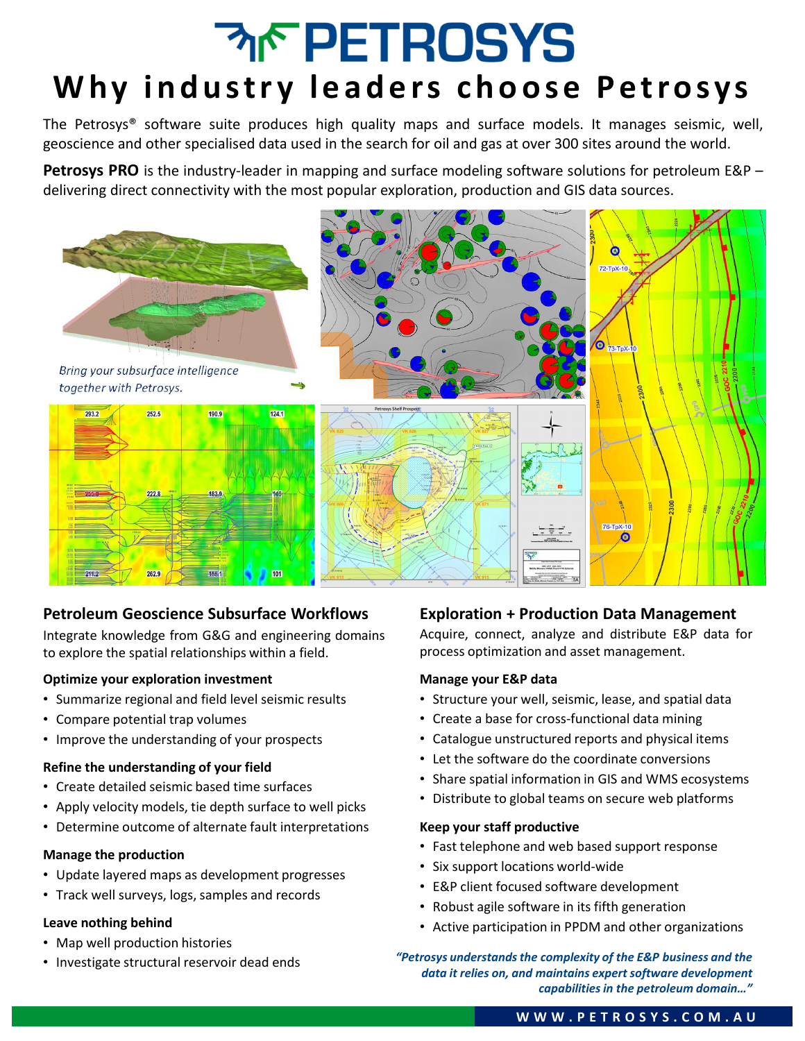# **MF PETROSYS** Why industry leaders choose Petrosys

The Petrosys® software suite produces high quality maps and surface models. It manages seismic, well, geoscience and other specialised data used in the search for oil and gas at over 300 sites around the world.

**Petrosys PRO** is the industry-leader in mapping and surface modeling software solutions for petroleum E&P – delivering direct connectivity with the most popular exploration, production and GIS data sources.



### **Petroleum Geoscience Subsurface Workflows**

Integrate knowledge from G&G and engineering domains to explore the spatial relationships within a field.

#### **Optimize your exploration investment**

- Summarize regional and field level seismic results
- Compare potential trap volumes
- Improve the understanding of your prospects

#### **Refine the understanding of your field**

- Create detailed seismic based time surfaces
- Apply velocity models, tie depth surface to well picks
- Determine outcome of alternate fault interpretations

#### **Manage the production**

- Update layered maps as development progresses
- Track well surveys, logs, samples and records

#### **Leave nothing behind**

- Map well production histories
- Investigate structural reservoir dead ends

### **Exploration + Production Data Management**

Acquire, connect, analyze and distribute E&P data for process optimization and asset management.

#### **Manage your E&P data**

- Structure your well, seismic, lease, and spatial data
- Create a base for cross-functional data mining
- Catalogue unstructured reports and physical items
- Let the software do the coordinate conversions
- Share spatial information in GIS and WMS ecosystems
- Distribute to global teams on secure web platforms

#### **Keep your staff productive**

- Fast telephone and web based support response
- Six support locations world-wide
- E&P client focused software development
- Robust agile software in its fifth generation
- Active participation in PPDM and other organizations
- *"Petrosys understands the complexity of the E&P business and the data it relies on, and maintains expert software development capabilities in the petroleum domain…"*